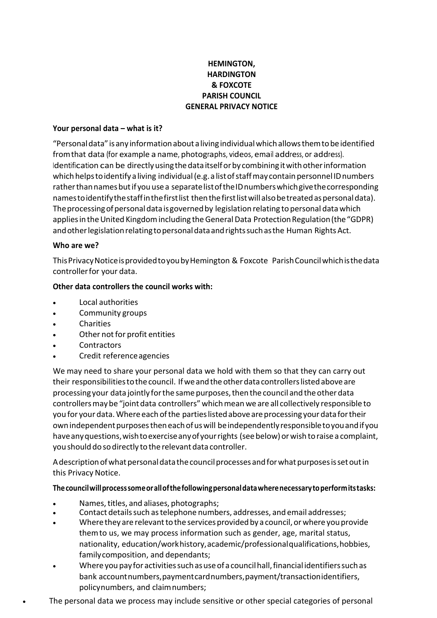# **HEMINGTON, HARDINGTON** & FOXCOTE **PARISH COUNCIL GENERAL PRIVACY NOTICE**

### Your personal data - what is it?

"Personal data" is any information about a living individual which allows them to be identified from that data (for example a name, photographs, videos, email address, or address). Identification can be directly using the data itself or by combining it with other information which helps to identify a living individual (e.g. a list of staff may contain personnel ID numbers rather than names but if you use a separate list of the ID numbers which give the corresponding names to identify the staff in the first list then the first list will also be treated as personal data). The processing of personal data is governed by legislation relating to personal data which applies in the United Kingdom including the General Data Protection Regulation (the "GDPR) and other legislation relating to personal data and rights such as the Human Rights Act.

### Who are we?

This Privacy Notice is provided to you by Hemington & Foxcote Parish Council which is the data controller for your data.

### Other data controllers the council works with:

- Local authorities
- Community groups
- Charities
- Other not for profit entities
- Contractors
- Credit reference agencies

We may need to share your personal data we hold with them so that they can carry out their responsibilities to the council. If we and the other data controllers listed above are processing your data jointly for the same purposes, then the council and the other data controllers may be "joint data controllers" which mean we are all collectively responsible to you for your data. Where each of the parties listed above are processing your data for their own independent purposes then each of us will be independently responsible to you and if you have any questions, wish to exercise any of your rights (see below) or wish to raise a complaint, you should do so directly to the relevant data controller.

A description of what personal data the council processes and for what purposes is set out in this Privacy Notice.

### The council will process some or all of the following personal data where necessary to perform its tasks:

- Names, titles, and aliases, photographs;
- Contact details such as telephone numbers, addresses, and email addresses;
- Where they are relevant to the services provided by a council, or where you provide them to us, we may process information such as gender, age, marital status, nationality, education/workhistory, academic/professional qualifications, hobbies, family composition, and dependants;
- Where you pay for activities such as use of a council hall, financial identifiers such as bank account numbers, payment card numbers, payment/transaction identifiers, policynumbers, and claimnumbers;
- The personal data we process may include sensitive or other special categories of personal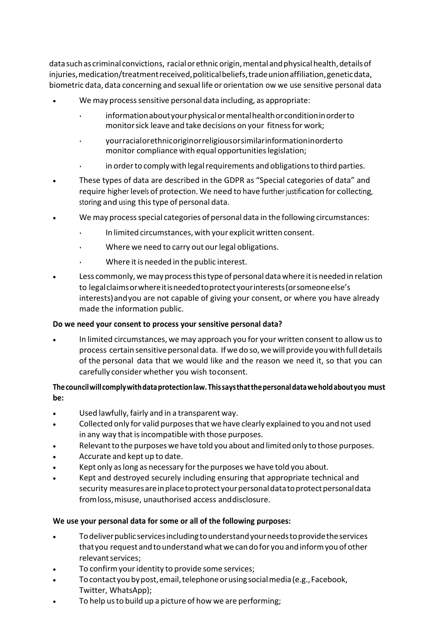data such as criminal convictions, racial or ethnic origin, mental and physical health, details of injuries, medication/treatment received, political beliefs, trade union affiliation, genetic data, biometric data, data concerning and sexual life or orientation ow we use sensitive personal data

- We may process sensitive personal data including, as appropriate:
	- information about your physical or mental health or condition in order to monitorsick leave and take decisions on your fitnessfor work;
	- yourracialorethnicoriginorreligiousorsimilarinformationinorderto monitor compliance with equal opportunitieslegislation;
	- in order to comply with legal requirements and obligations to third parties.
- These types of data are described in the GDPR as "Special categories of data" and require higher levels of protection. We need to have further justification for collecting, storing and using this type of personal data.
- We may processspecial categories of personal data in the following circumstances:
	- In limited circumstances, with your explicit written consent.
	- Where we need to carry out our legal obligations.
	- Where it is needed in the public interest.
- Less commonly, we may process this type of personal data where it is needed in relation to legalclaimsorwhereitisneededtoprotectyourinterests(orsomeoneelse's interests)andyou are not capable of giving your consent, or where you have already made the information public.

### **Do we need your consent to process your sensitive personal data?**

• In limited circumstances, we may approach you for your written consent to allow usto process certain sensitive personal data. If we do so, we will provide you with full details of the personal data that we would like and the reason we need it, so that you can carefully consider whether you wish toconsent.

# **Thecouncilwill complywithdataprotectionlaw.Thissaysthatthepersonaldataweholdaboutyou must be:**

- Used lawfully, fairly and in a transparent way.
- Collected only for valid purposesthat we have clearly explained to you and not used in any way that is incompatible with those purposes.
- Relevant to the purposes we have told you about and limited only to those purposes.
- Accurate and kept up to date.
- Kept only as long as necessary for the purposes we have told you about.
- Kept and destroyed securely including ensuring that appropriate technical and security measures are in place to protect your personal data to protect personal data fromloss,misuse, unauthorised access anddisclosure.

### **We use your personal data for some or all of the following purposes:**

- Todeliverpublicservicesincludingtounderstandyourneedstoprovidetheservices that you request and to understand what we can do for you and inform you of other relevant services;
- To confirm your identity to provide some services;
- Tocontactyoubypost,email,telephoneorusingsocialmedia(e.g.,Facebook, Twitter, WhatsApp);
- To help us to build up a picture of how we are performing;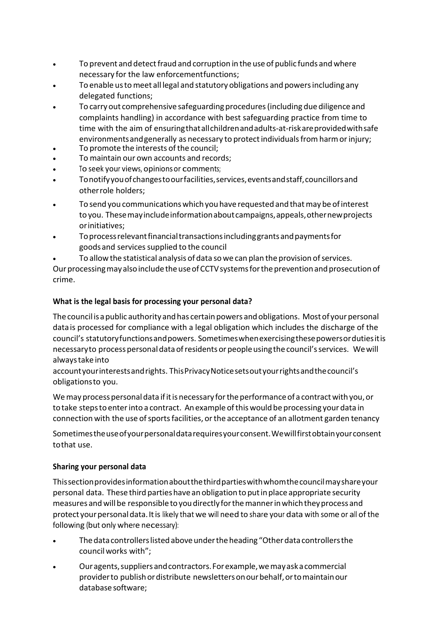- To prevent and detect fraud and corruption in the use of public funds and where necessary for the law enforcementfunctions;
- To enable ustomeet all legal and statutory obligations and powersincluding any delegated functions;
- To carryout comprehensive safeguardingprocedures(including due diligence and complaints handling) in accordance with best safeguarding practice from time to time with the aim of ensuringthatallchildrenandadults-at-riskareprovidedwithsafe environments and generally as necessary to protect individuals from harm or injury;
- To promote the interests of the council;
- To maintain our own accounts and records;
- To seek your views, opinionsor comments;
- Tonotifyyouofchangestoourfacilities,services,eventsandstaff,councillorsand otherrole holders;
- To send you communications which you have requested and that may be of interest to you. These may include information about campaigns, appeals, other new projects orinitiatives;
- Toprocessrelevantfinancialtransactionsincludinggrantsandpaymentsfor goods and services supplied to the council
	- To allow the statistical analysis of data so we can plan the provision of services.

Our processing may also include the use of CCTV systems for the prevention and prosecution of crime.

### **What is the legal basis for processing your personal data?**

The council is a public authority and has certain powers and obligations. Most of your personal data is processed for compliance with a legal obligation which includes the discharge of the council's statutoryfunctionsandpowers. Sometimeswhenexercisingthesepowersordutiesitis necessaryto processpersonaldataofresidents orpeopleusingthecouncil'sservices. Wewill alwaystake into

accountyourinterestsandrights. ThisPrivacyNoticesetsoutyourrightsandthecouncil's obligationsto you.

We may process personal data if it is necessary for the performance of a contract with you, or totake stepsto enterinto a contract. Anexample ofthiswould be processing your data in connection with the use of sports facilities, or the acceptance of an allotment garden tenancy

Sometimestheuseofyourpersonaldatarequiresyourconsent.Wewillfirstobtainyourconsent tothat use.

### **Sharing your personal data**

Thissectionprovidesinformationaboutthethirdpartieswithwhomthecouncilmayshareyour personal data. These third parties have an obligation to put in place appropriate security measures andwillbe responsibletoyoudirectlyforthemannerinwhichtheyprocess and protect your personal data. It is likely that we will need to share your data with some or all of the following (but only where necessary):

- The data controllers listed above under the heading "Other data controllers the councilworks with";
- Ouragents,suppliersandcontractors.Forexample,wemayaskacommercial providerto publishordistribute newslettersonourbehalf,ortomaintainour database software;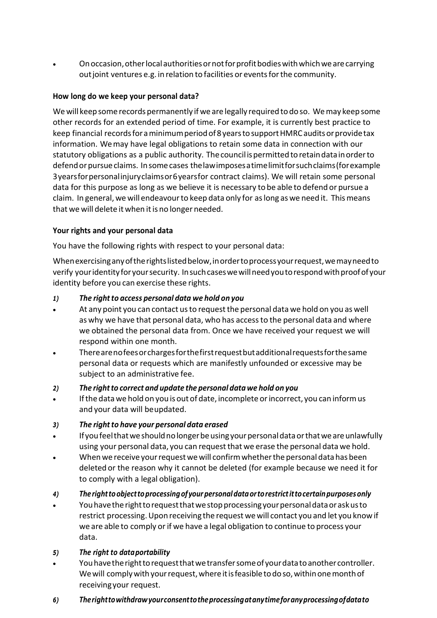• Onoccasion,otherlocalauthoritiesornotforprofitbodieswithwhichwearecarrying outjoint ventures e.g. in relation to facilities or eventsforthe community.

### **How long do we keep your personal data?**

We will keep some records permanently if we are legally required to do so. We may keep some other records for an extended period of time. For example, it is currently best practice to keep financial records for a minimum period of 8 years to support HMRC audits or provide tax information. Wemay have legal obligations to retain some data in connection with our statutory obligations as a public authority. Thecouncilispermitted toretaindatainorderto defend or pursue claims. In some cases the law imposes a time limit for such claims (for example 3yearsforpersonalinjuryclaimsor6yearsfor contract claims). We will retain some personal data for this purpose as long as we believe it is necessary to be able to defend or pursue a claim. In general,we will endeavourto keep data only for aslong as we need it. Thismeans that we will delete it when it is no longer needed.

### **Your rights and your personal data**

You have the following rights with respect to your personal data:

Whenexercisinganyoftherightslistedbelow,inordertoprocessyourrequest,wemayneedto verify your identity for your security. In such cases we will need you to respond with proof of your identity before you can exercise these rights.

### *1) The rightto access personal data we hold on you*

- At any point you can contact usto requestthe personal data we hold on you as well as why we have that personal data, who has accessto the personal data and where we obtained the personal data from. Once we have received your request we will respond within one month.
- Therearenofeesorchargesforthefirstrequestbutadditionalrequestsforthesame personal data or requests which are manifestly unfounded or excessive may be subject to an administrative fee.

### *2) The rightto correct and update the personal data we hold on you*

If the data we hold on you is out of date, incomplete or incorrect, you can inform us and your data will beupdated.

### *3) The rightto have your personal data erased*

- If youfeelthatweshouldnolongerbeusingyourpersonaldataorthatweareunlawfully using your personal data, you can requestthat we erase the personal data we hold.
- When we receive your request we will confirm whether the personal data has been deleted or the reason why it cannot be deleted (for example because we need it for to comply with a legal obligation).

# *4) Therighttoobjecttoprocessingofyourpersonaldataortorestrictittocertainpurposesonly*

• Youhavethe righttorequestthatwestopprocessingyourpersonaldataoraskusto restrict processing.Upon receiving the request wewill contact you and let you knowif we are able to comply or if we have a legal obligation to continue to process your data.

# *5) The right to dataportability*

- Youhavetherighttorequestthatwetransfersomeof yourdatatoanother controller. We will comply with your request, where it is feasible to do so, within one month of receivingyour request.
- *6) Therighttowithdrawyourconsenttotheprocessingatanytimeforanyprocessingofdatato*